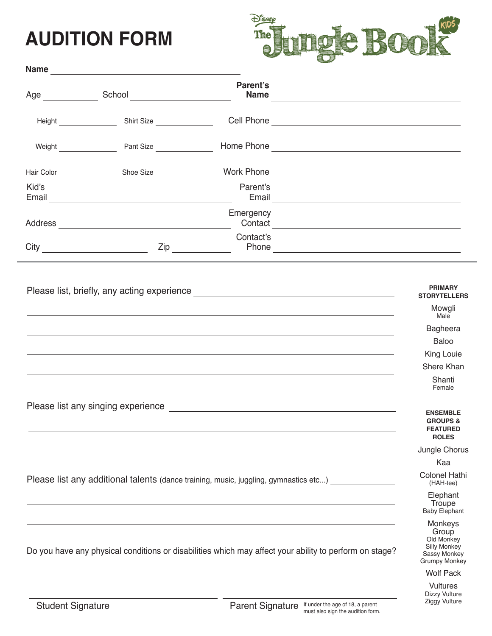## **AUDITION FORM**



|                                                                                      |                                                                                                                                                                                                                                      | Parent's<br><b>Name</b><br><u> 1980 - Andrea Station Barbara, amerikan personal (h. 1980).</u>                                                                                                                                              |                                                                           |
|--------------------------------------------------------------------------------------|--------------------------------------------------------------------------------------------------------------------------------------------------------------------------------------------------------------------------------------|---------------------------------------------------------------------------------------------------------------------------------------------------------------------------------------------------------------------------------------------|---------------------------------------------------------------------------|
|                                                                                      | Height <b>Contract Contract Contract Contract Contract Contract Contract Contract Contract Contract Contract Contract Contract Contract Contract Contract Contract Contract Contract Contract Contract Contract Contract Contrac</b> | Cell Phone <u>Contract of the Contract of the Contract of the Contract of the Contract of the Contract of the Contract of the Contract of the Contract of the Contract of the Contract of the Contract of the Contract of the Co</u>        |                                                                           |
|                                                                                      | Weight Pant Size                                                                                                                                                                                                                     |                                                                                                                                                                                                                                             |                                                                           |
|                                                                                      |                                                                                                                                                                                                                                      |                                                                                                                                                                                                                                             |                                                                           |
| Kid's                                                                                |                                                                                                                                                                                                                                      | Parent's<br>Email <u>San Ann ann an Chomain ann an Chomain ann an Chomain ann an Chomain ann an Chomain ann an Chomain ann an</u>                                                                                                           |                                                                           |
|                                                                                      |                                                                                                                                                                                                                                      | Emergency<br>Contact Contact Contact Contact Contact Contact Contact Contact Contact Contact Contact Contact Contact Contact Contact Contact Contact Contact Contact Contact Contact Contact Contact Contact Contact Contact Contact Contac |                                                                           |
|                                                                                      |                                                                                                                                                                                                                                      | Contact's                                                                                                                                                                                                                                   |                                                                           |
|                                                                                      |                                                                                                                                                                                                                                      | Please list, briefly, any acting experience <b>contract and all the set of the set of the set of the set of the set of the set of the set of the set of the set of the set of the set of the set of the set of the set of the se</b>        | <b>PRIMARY</b><br><b>STORYTELLERS</b><br>Mowgli<br>Male                   |
|                                                                                      |                                                                                                                                                                                                                                      |                                                                                                                                                                                                                                             | Bagheera                                                                  |
|                                                                                      |                                                                                                                                                                                                                                      | ,我们也不会有什么。""我们的人,我们也不会有什么?""我们的人,我们也不会有什么?""我们的人,我们也不会有什么?""我们的人,我们也不会有什么?""我们的人                                                                                                                                                            | Baloo                                                                     |
|                                                                                      |                                                                                                                                                                                                                                      |                                                                                                                                                                                                                                             | King Louie<br>Shere Khan                                                  |
|                                                                                      |                                                                                                                                                                                                                                      |                                                                                                                                                                                                                                             | Shanti<br>Female                                                          |
|                                                                                      |                                                                                                                                                                                                                                      |                                                                                                                                                                                                                                             | <b>ENSEMBLE</b><br><b>GROUPS &amp;</b><br><b>FEATURED</b><br><b>ROLES</b> |
|                                                                                      |                                                                                                                                                                                                                                      |                                                                                                                                                                                                                                             | Jungle Chorus                                                             |
|                                                                                      |                                                                                                                                                                                                                                      |                                                                                                                                                                                                                                             | Kaa                                                                       |
| Please list any additional talents (dance training, music, juggling, gymnastics etc) | <b>Colonel Hathi</b><br>(HAH-tee)                                                                                                                                                                                                    |                                                                                                                                                                                                                                             |                                                                           |
|                                                                                      |                                                                                                                                                                                                                                      |                                                                                                                                                                                                                                             | Elephant<br>Troupe<br><b>Baby Elephant</b>                                |
|                                                                                      |                                                                                                                                                                                                                                      | Do you have any physical conditions or disabilities which may affect your ability to perform on stage?                                                                                                                                      | Monkeys<br>Group<br>Old Monkey<br>Silly Monkey<br>Sassy Monkey            |

Grumpy Monkey Wolf Pack

Sassy Monkey

Vultures Dizzy Vulture Ziggy Vulture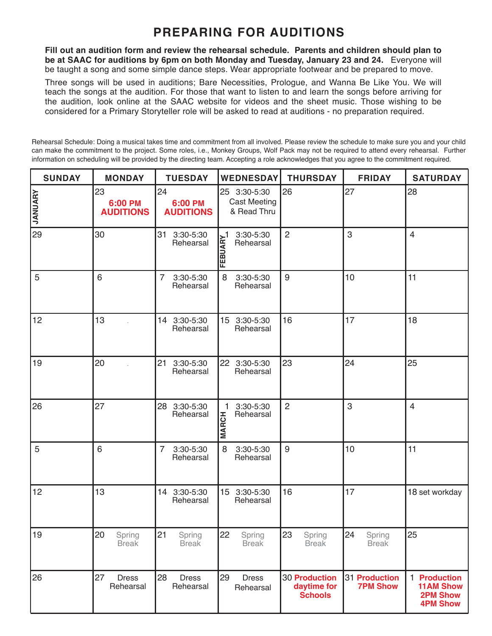### **PREPARING FOR AUDITIONS**

**Fill out an audition form and review the rehearsal schedule. Parents and children should plan to be at SAAC for auditions by 6pm on both Monday and Tuesday, January 23 and 24.** Everyone will be taught a song and some simple dance steps. Wear appropriate footwear and be prepared to move.

Three songs will be used in auditions; Bare Necessities, Prologue, and Wanna Be Like You. We will teach the songs at the audition. For those that want to listen to and learn the songs before arriving for the audition, look online at the SAAC website for videos and the sheet music. Those wishing to be considered for a Primary Storyteller role will be asked to read at auditions - no preparation required.

Rehearsal Schedule: Doing a musical takes time and commitment from all involved. Please review the schedule to make sure you and your child can make the commitment to the project. Some roles, i.e., Monkey Groups, Wolf Pack may not be required to attend every rehearsal. Further information on scheduling will be provided by the directing team. Accepting a role acknowledges that you agree to the commitment required.

| <b>SUNDAY</b>  | <b>MONDAY</b>                     | <b>TUESDAY</b>                           | <b>WEDNESDAY</b>                                   | <b>THURSDAY</b>                                | <b>FRIDAY</b>                    | <b>SATURDAY</b>                                                        |
|----------------|-----------------------------------|------------------------------------------|----------------------------------------------------|------------------------------------------------|----------------------------------|------------------------------------------------------------------------|
| <b>JANUARY</b> | 23<br>6:00 PM<br><b>AUDITIONS</b> | 24<br>6:00 PM<br><b>AUDITIONS</b>        | 25 3:30-5:30<br><b>Cast Meeting</b><br>& Read Thru | 26                                             | 27                               | 28                                                                     |
| 29             | 30                                | 31<br>3:30-5:30<br>Rehearsal             | 3:30-5:30<br>FEBUARY<br>Rehearsal                  | $\overline{2}$                                 | 3                                | $\overline{4}$                                                         |
| 5              | 6                                 | 7<br>3:30-5:30<br>Rehearsal              | 8<br>3:30-5:30<br>Rehearsal                        | 9                                              | 10                               | 11                                                                     |
| 12             | 13                                | 14 3:30-5:30<br>Rehearsal                | 15 3:30-5:30<br>Rehearsal                          | 16                                             | 17                               | 18                                                                     |
| 19             | 20                                | 21<br>3:30-5:30<br>Rehearsal             | 3:30-5:30<br>22 <sub>2</sub><br>Rehearsal          | 23                                             | 24                               | 25                                                                     |
| 26             | 27                                | 28<br>3:30-5:30<br>Rehearsal             | 3:30-5:30<br>1<br>Rehearsal<br><b>MARCH</b>        | $\overline{2}$                                 | 3                                | $\overline{4}$                                                         |
| 5              | 6                                 | $\overline{7}$<br>3:30-5:30<br>Rehearsal | 3:30-5:30<br>8<br>Rehearsal                        | $9\,$                                          | 10                               | 11                                                                     |
| 12             | 13                                | 14 3:30-5:30<br>Rehearsal                | 15 3:30-5:30<br>Rehearsal                          | 16                                             | 17                               | 18 set workday                                                         |
| 19             | 20<br>Spring<br><b>Break</b>      | 21<br>Spring<br><b>Break</b>             | 22<br>Spring<br><b>Break</b>                       | 23<br>Spring<br><b>Break</b>                   | 24<br>Spring<br><b>Break</b>     | 25                                                                     |
| 26             | 27<br><b>Dress</b><br>Rehearsal   | 28<br><b>Dress</b><br>Rehearsal          | 29<br><b>Dress</b><br>Rehearsal                    | 30 Production<br>daytime for<br><b>Schools</b> | 31 Production<br><b>7PM Show</b> | 1 Production<br><b>11AM Show</b><br><b>2PM Show</b><br><b>4PM Show</b> |